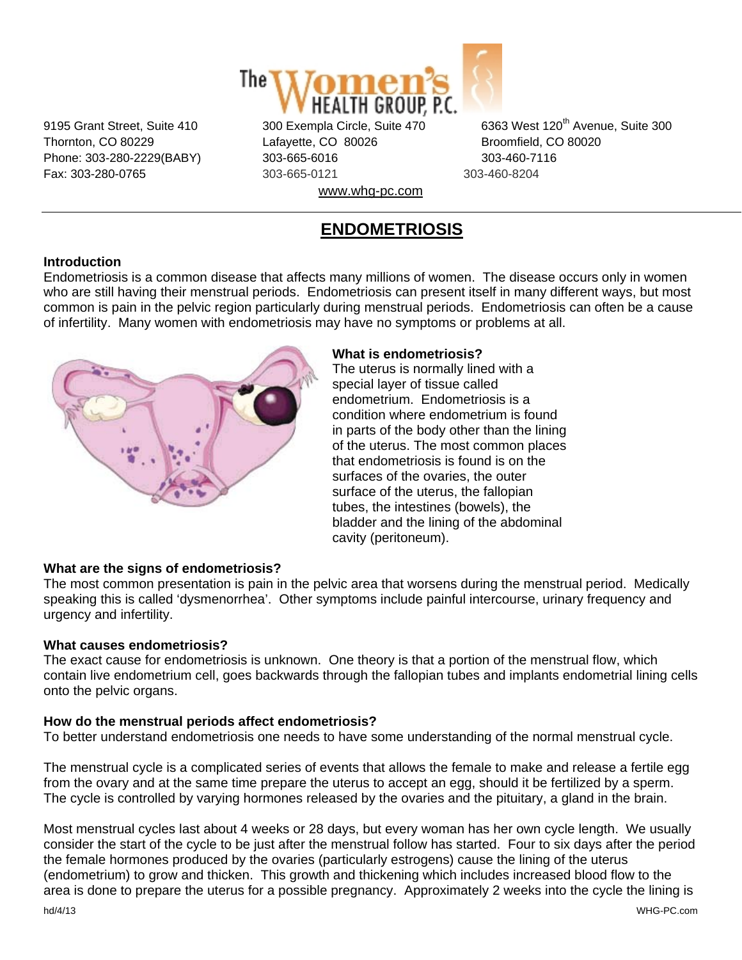

Thornton, CO 80229 Lafayette, CO 80026 Broomfield, CO 80020 Phone: 303-280-2229(BABY) 303-665-6016 303-460-7116 Fax: 303-280-0765 303-665-0121 303-460-8204

9195 Grant Street, Suite 410 300 Exempla Circle, Suite 470 6363 West 120<sup>th</sup> Avenue, Suite 300

www.whg-pc.com

# **ENDOMETRIOSIS**

# **Introduction**

Endometriosis is a common disease that affects many millions of women. The disease occurs only in women who are still having their menstrual periods. Endometriosis can present itself in many different ways, but most common is pain in the pelvic region particularly during menstrual periods. Endometriosis can often be a cause of infertility. Many women with endometriosis may have no symptoms or problems at all.



#### **What is endometriosis?**

The uterus is normally lined with a special layer of tissue called endometrium. Endometriosis is a condition where endometrium is found in parts of the body other than the lining of the uterus. The most common places that endometriosis is found is on the surfaces of the ovaries, the outer surface of the uterus, the fallopian tubes, the intestines (bowels), the bladder and the lining of the abdominal cavity (peritoneum).

# **What are the signs of endometriosis?**

The most common presentation is pain in the pelvic area that worsens during the menstrual period. Medically speaking this is called 'dysmenorrhea'. Other symptoms include painful intercourse, urinary frequency and urgency and infertility.

# **What causes endometriosis?**

The exact cause for endometriosis is unknown. One theory is that a portion of the menstrual flow, which contain live endometrium cell, goes backwards through the fallopian tubes and implants endometrial lining cells onto the pelvic organs.

# **How do the menstrual periods affect endometriosis?**

To better understand endometriosis one needs to have some understanding of the normal menstrual cycle.

The menstrual cycle is a complicated series of events that allows the female to make and release a fertile egg from the ovary and at the same time prepare the uterus to accept an egg, should it be fertilized by a sperm. The cycle is controlled by varying hormones released by the ovaries and the pituitary, a gland in the brain.

Most menstrual cycles last about 4 weeks or 28 days, but every woman has her own cycle length. We usually consider the start of the cycle to be just after the menstrual follow has started. Four to six days after the period the female hormones produced by the ovaries (particularly estrogens) cause the lining of the uterus (endometrium) to grow and thicken. This growth and thickening which includes increased blood flow to the area is done to prepare the uterus for a possible pregnancy. Approximately 2 weeks into the cycle the lining is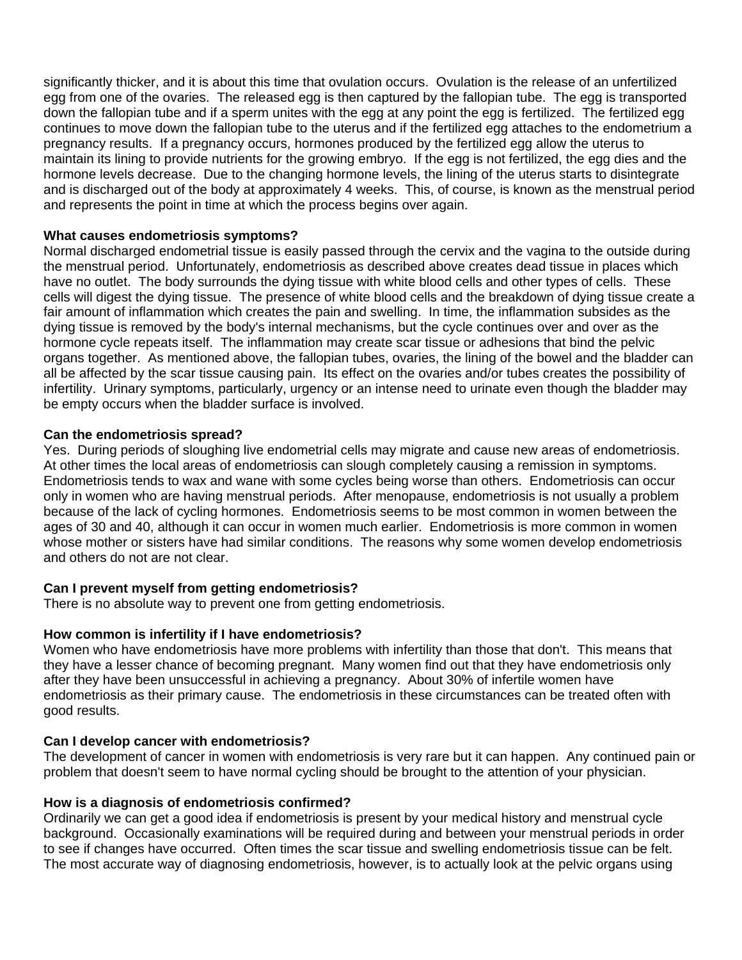significantly thicker, and it is about this time that ovulation occurs. Ovulation is the release of an unfertilized egg from one of the ovaries. The released egg is then captured by the fallopian tube. The egg is transported down the fallopian tube and if a sperm unites with the egg at any point the egg is fertilized. The fertilized egg continues to move down the fallopian tube to the uterus and if the fertilized egg attaches to the endometrium a pregnancy results. If a pregnancy occurs, hormones produced by the fertilized egg allow the uterus to maintain its lining to provide nutrients for the growing embryo. If the egg is not fertilized, the egg dies and the hormone levels decrease. Due to the changing hormone levels, the lining of the uterus starts to disintegrate and is discharged out of the body at approximately 4 weeks. This, of course, is known as the menstrual period and represents the point in time at which the process begins over again.

#### **What causes endometriosis symptoms?**

Normal discharged endometrial tissue is easily passed through the cervix and the vagina to the outside during the menstrual period. Unfortunately, endometriosis as described above creates dead tissue in places which have no outlet. The body surrounds the dying tissue with white blood cells and other types of cells. These cells will digest the dying tissue. The presence of white blood cells and the breakdown of dying tissue create a fair amount of inflammation which creates the pain and swelling. In time, the inflammation subsides as the dying tissue is removed by the body's internal mechanisms, but the cycle continues over and over as the hormone cycle repeats itself. The inflammation may create scar tissue or adhesions that bind the pelvic organs together. As mentioned above, the fallopian tubes, ovaries, the lining of the bowel and the bladder can all be affected by the scar tissue causing pain. Its effect on the ovaries and/or tubes creates the possibility of infertility. Urinary symptoms, particularly, urgency or an intense need to urinate even though the bladder may be empty occurs when the bladder surface is involved.

### **Can the endometriosis spread?**

Yes. During periods of sloughing live endometrial cells may migrate and cause new areas of endometriosis. At other times the local areas of endometriosis can slough completely causing a remission in symptoms. Endometriosis tends to wax and wane with some cycles being worse than others. Endometriosis can occur only in women who are having menstrual periods. After menopause, endometriosis is not usually a problem because of the lack of cycling hormones. Endometriosis seems to be most common in women between the ages of 30 and 40, although it can occur in women much earlier. Endometriosis is more common in women whose mother or sisters have had similar conditions. The reasons why some women develop endometriosis and others do not are not clear.

# **Can I prevent myself from getting endometriosis?**

There is no absolute way to prevent one from getting endometriosis.

# **How common is infertility if I have endometriosis?**

Women who have endometriosis have more problems with infertility than those that don't. This means that they have a lesser chance of becoming pregnant. Many women find out that they have endometriosis only after they have been unsuccessful in achieving a pregnancy. About 30% of infertile women have endometriosis as their primary cause. The endometriosis in these circumstances can be treated often with good results.

#### **Can I develop cancer with endometriosis?**

The development of cancer in women with endometriosis is very rare but it can happen. Any continued pain or problem that doesn't seem to have normal cycling should be brought to the attention of your physician.

#### **How is a diagnosis of endometriosis confirmed?**

Ordinarily we can get a good idea if endometriosis is present by your medical history and menstrual cycle background. Occasionally examinations will be required during and between your menstrual periods in order to see if changes have occurred. Often times the scar tissue and swelling endometriosis tissue can be felt. The most accurate way of diagnosing endometriosis, however, is to actually look at the pelvic organs using